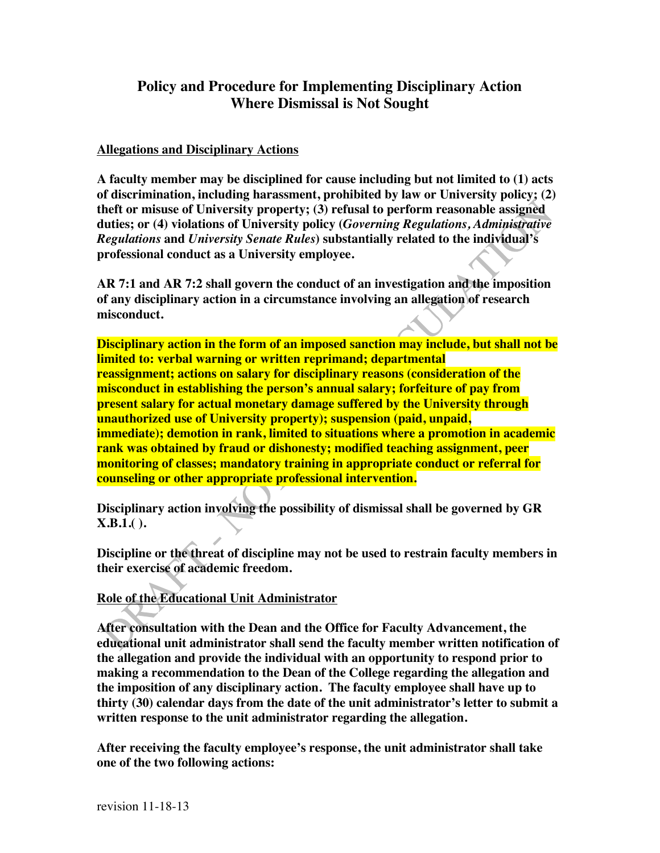## **Policy and Procedure for Implementing Disciplinary Action Where Dismissal is Not Sought**

## **Allegations and Disciplinary Actions**

**A faculty member may be disciplined for cause including but not limited to (1) acts of discrimination, including harassment, prohibited by law or University policy; (2) theft or misuse of University property; (3) refusal to perform reasonable assigned duties; or (4) violations of University policy (***Governing Regulations, Administrative Regulations* **and** *University Senate Rules***) substantially related to the individual's professional conduct as a University employee.**

**AR 7:1 and AR 7:2 shall govern the conduct of an investigation and the imposition of any disciplinary action in a circumstance involving an allegation of research misconduct.**

**Disciplinary action in the form of an imposed sanction may include, but shall not be limited to: verbal warning or written reprimand; departmental reassignment; actions on salary for disciplinary reasons (consideration of the misconduct in establishing the person's annual salary; forfeiture of pay from present salary for actual monetary damage suffered by the University through unauthorized use of University property); suspension (paid, unpaid, immediate); demotion in rank, limited to situations where a promotion in academic rank was obtained by fraud or dishonesty; modified teaching assignment, peer monitoring of classes; mandatory training in appropriate conduct or referral for counseling or other appropriate professional intervention.**

**Disciplinary action involving the possibility of dismissal shall be governed by GR X.B.1.( ).**

**Discipline or the threat of discipline may not be used to restrain faculty members in their exercise of academic freedom.**

**Role of the Educational Unit Administrator**

**After consultation with the Dean and the Office for Faculty Advancement, the educational unit administrator shall send the faculty member written notification of the allegation and provide the individual with an opportunity to respond prior to making a recommendation to the Dean of the College regarding the allegation and the imposition of any disciplinary action. The faculty employee shall have up to thirty (30) calendar days from the date of the unit administrator's letter to submit a written response to the unit administrator regarding the allegation.**

**After receiving the faculty employee's response, the unit administrator shall take one of the two following actions:**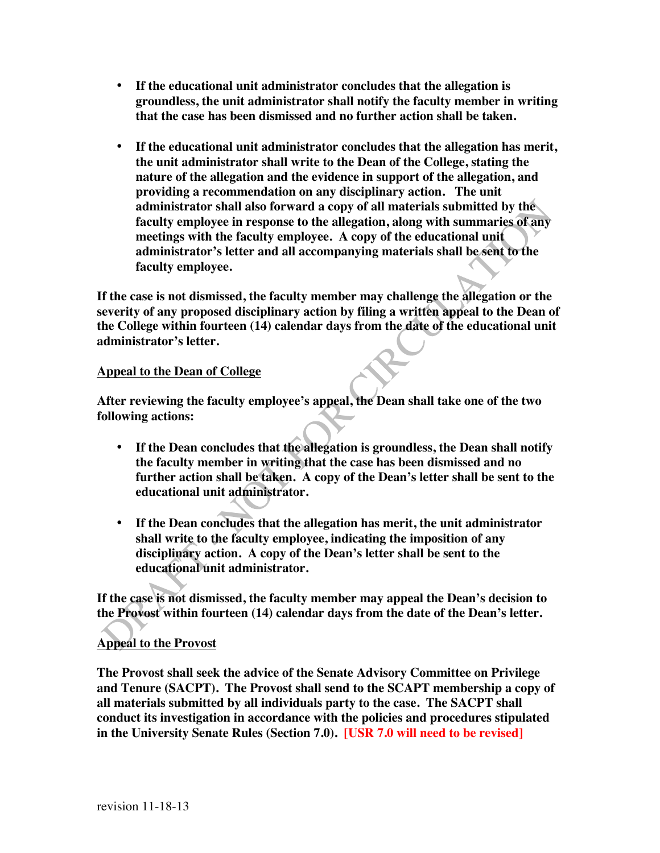- **If the educational unit administrator concludes that the allegation is groundless, the unit administrator shall notify the faculty member in writing that the case has been dismissed and no further action shall be taken.**
- **If the educational unit administrator concludes that the allegation has merit, the unit administrator shall write to the Dean of the College, stating the nature of the allegation and the evidence in support of the allegation, and providing a recommendation on any disciplinary action. The unit administrator shall also forward a copy of all materials submitted by the faculty employee in response to the allegation, along with summaries of any meetings with the faculty employee. A copy of the educational unit administrator's letter and all accompanying materials shall be sent to the faculty employee.**

**If the case is not dismissed, the faculty member may challenge the allegation or the severity of any proposed disciplinary action by filing a written appeal to the Dean of the College within fourteen (14) calendar days from the date of the educational unit administrator's letter.**

## **Appeal to the Dean of College**

**After reviewing the faculty employee's appeal, the Dean shall take one of the two following actions:**

- **If the Dean concludes that the allegation is groundless, the Dean shall notify the faculty member in writing that the case has been dismissed and no further action shall be taken. A copy of the Dean's letter shall be sent to the educational unit administrator.**
- **If the Dean concludes that the allegation has merit, the unit administrator shall write to the faculty employee, indicating the imposition of any disciplinary action. A copy of the Dean's letter shall be sent to the educational unit administrator.**

**If the case is not dismissed, the faculty member may appeal the Dean's decision to the Provost within fourteen (14) calendar days from the date of the Dean's letter.**

## **Appeal to the Provost**

**The Provost shall seek the advice of the Senate Advisory Committee on Privilege and Tenure (SACPT). The Provost shall send to the SCAPT membership a copy of all materials submitted by all individuals party to the case. The SACPT shall conduct its investigation in accordance with the policies and procedures stipulated in the University Senate Rules (Section 7.0). [USR 7.0 will need to be revised]**